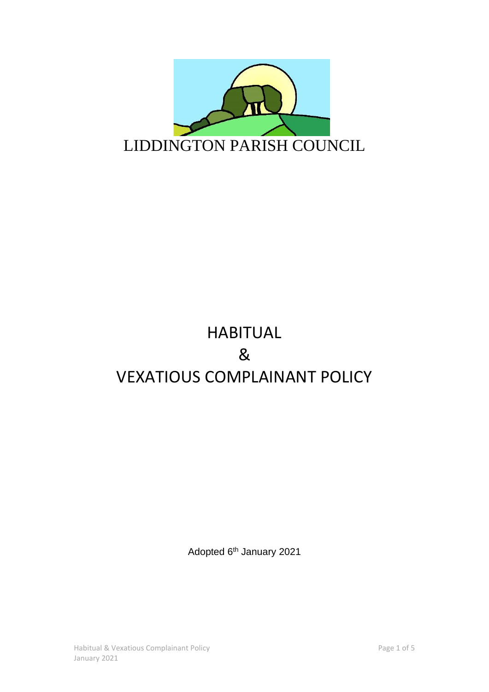

# HABITUAL & VEXATIOUS COMPLAINANT POLICY

Adopted 6<sup>th</sup> January 2021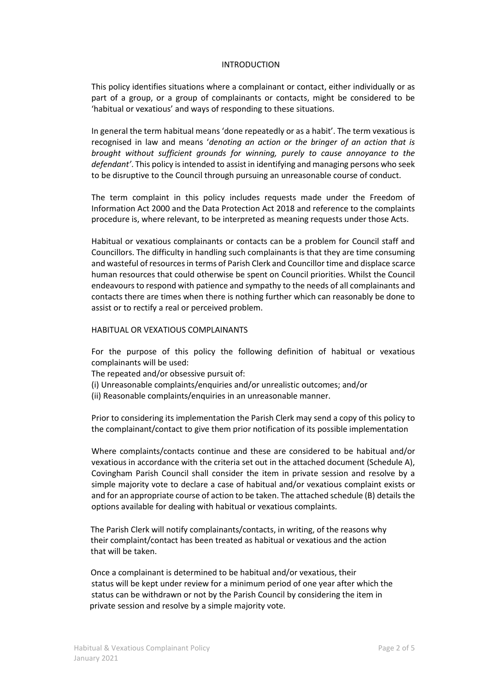### INTRODUCTION

This policy identifies situations where a complainant or contact, either individually or as part of a group, or a group of complainants or contacts, might be considered to be 'habitual or vexatious' and ways of responding to these situations.

In general the term habitual means 'done repeatedly or as a habit'. The term vexatious is recognised in law and means '*denoting an action or the bringer of an action that is brought without sufficient grounds for winning, purely to cause annoyance to the defendant'*. This policy is intended to assist in identifying and managing persons who seek to be disruptive to the Council through pursuing an unreasonable course of conduct.

The term complaint in this policy includes requests made under the Freedom of Information Act 2000 and the Data Protection Act 2018 and reference to the complaints procedure is, where relevant, to be interpreted as meaning requests under those Acts.

Habitual or vexatious complainants or contacts can be a problem for Council staff and Councillors. The difficulty in handling such complainants is that they are time consuming and wasteful of resources in terms of Parish Clerk and Councillor time and displace scarce human resources that could otherwise be spent on Council priorities. Whilst the Council endeavours to respond with patience and sympathy to the needs of all complainants and contacts there are times when there is nothing further which can reasonably be done to assist or to rectify a real or perceived problem.

#### HABITUAL OR VEXATIOUS COMPLAINANTS

For the purpose of this policy the following definition of habitual or vexatious complainants will be used:

The repeated and/or obsessive pursuit of:

(i) Unreasonable complaints/enquiries and/or unrealistic outcomes; and/or

(ii) Reasonable complaints/enquiries in an unreasonable manner.

Prior to considering its implementation the Parish Clerk may send a copy of this policy to the complainant/contact to give them prior notification of its possible implementation

Where complaints/contacts continue and these are considered to be habitual and/or vexatious in accordance with the criteria set out in the attached document (Schedule A), Covingham Parish Council shall consider the item in private session and resolve by a simple majority vote to declare a case of habitual and/or vexatious complaint exists or and for an appropriate course of action to be taken. The attached schedule (B) details the options available for dealing with habitual or vexatious complaints.

The Parish Clerk will notify complainants/contacts, in writing, of the reasons why their complaint/contact has been treated as habitual or vexatious and the action that will be taken.

Once a complainant is determined to be habitual and/or vexatious, their status will be kept under review for a minimum period of one year after which the status can be withdrawn or not by the Parish Council by considering the item in private session and resolve by a simple majority vote.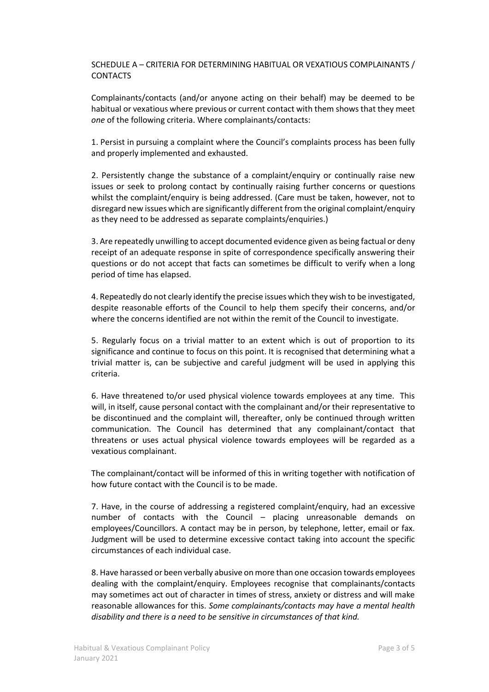## SCHEDULE A – CRITERIA FOR DETERMINING HABITUAL OR VEXATIOUS COMPLAINANTS / **CONTACTS**

Complainants/contacts (and/or anyone acting on their behalf) may be deemed to be habitual or vexatious where previous or current contact with them shows that they meet *one* of the following criteria. Where complainants/contacts:

1. Persist in pursuing a complaint where the Council's complaints process has been fully and properly implemented and exhausted.

2. Persistently change the substance of a complaint/enquiry or continually raise new issues or seek to prolong contact by continually raising further concerns or questions whilst the complaint/enquiry is being addressed. (Care must be taken, however, not to disregard new issues which are significantly different from the original complaint/enquiry as they need to be addressed as separate complaints/enquiries.)

3. Are repeatedly unwilling to accept documented evidence given as being factual or deny receipt of an adequate response in spite of correspondence specifically answering their questions or do not accept that facts can sometimes be difficult to verify when a long period of time has elapsed.

4. Repeatedly do not clearly identify the precise issues which they wish to be investigated, despite reasonable efforts of the Council to help them specify their concerns, and/or where the concerns identified are not within the remit of the Council to investigate.

5. Regularly focus on a trivial matter to an extent which is out of proportion to its significance and continue to focus on this point. It is recognised that determining what a trivial matter is, can be subjective and careful judgment will be used in applying this criteria.

6. Have threatened to/or used physical violence towards employees at any time. This will, in itself, cause personal contact with the complainant and/or their representative to be discontinued and the complaint will, thereafter, only be continued through written communication. The Council has determined that any complainant/contact that threatens or uses actual physical violence towards employees will be regarded as a vexatious complainant.

The complainant/contact will be informed of this in writing together with notification of how future contact with the Council is to be made.

7. Have, in the course of addressing a registered complaint/enquiry, had an excessive number of contacts with the Council – placing unreasonable demands on employees/Councillors. A contact may be in person, by telephone, letter, email or fax. Judgment will be used to determine excessive contact taking into account the specific circumstances of each individual case.

8. Have harassed or been verbally abusive on more than one occasion towards employees dealing with the complaint/enquiry. Employees recognise that complainants/contacts may sometimes act out of character in times of stress, anxiety or distress and will make reasonable allowances for this. *Some complainants/contacts may have a mental health disability and there is a need to be sensitive in circumstances of that kind.*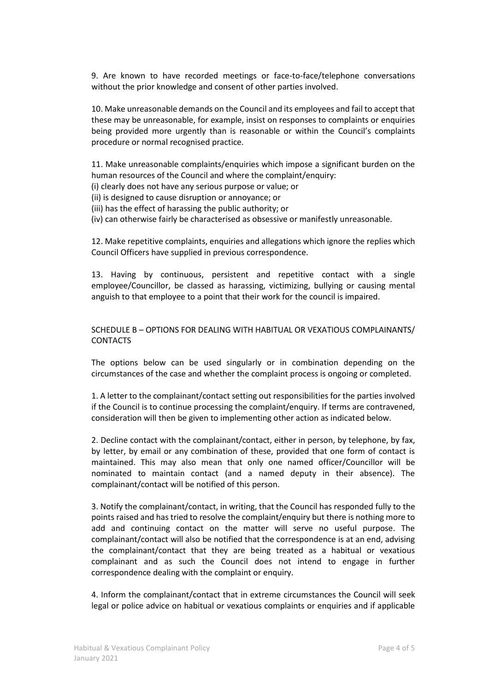9. Are known to have recorded meetings or face-to-face/telephone conversations without the prior knowledge and consent of other parties involved.

10. Make unreasonable demands on the Council and its employees and fail to accept that these may be unreasonable, for example, insist on responses to complaints or enquiries being provided more urgently than is reasonable or within the Council's complaints procedure or normal recognised practice.

11. Make unreasonable complaints/enquiries which impose a significant burden on the human resources of the Council and where the complaint/enquiry:

(i) clearly does not have any serious purpose or value; or

(ii) is designed to cause disruption or annoyance; or

(iii) has the effect of harassing the public authority; or

(iv) can otherwise fairly be characterised as obsessive or manifestly unreasonable.

12. Make repetitive complaints, enquiries and allegations which ignore the replies which Council Officers have supplied in previous correspondence.

13. Having by continuous, persistent and repetitive contact with a single employee/Councillor, be classed as harassing, victimizing, bullying or causing mental anguish to that employee to a point that their work for the council is impaired.

## SCHEDULE B – OPTIONS FOR DEALING WITH HABITUAL OR VEXATIOUS COMPLAINANTS/ CONTACTS

The options below can be used singularly or in combination depending on the circumstances of the case and whether the complaint process is ongoing or completed.

1. A letter to the complainant/contact setting out responsibilities for the parties involved if the Council is to continue processing the complaint/enquiry. If terms are contravened, consideration will then be given to implementing other action as indicated below.

2. Decline contact with the complainant/contact, either in person, by telephone, by fax, by letter, by email or any combination of these, provided that one form of contact is maintained. This may also mean that only one named officer/Councillor will be nominated to maintain contact (and a named deputy in their absence). The complainant/contact will be notified of this person.

3. Notify the complainant/contact, in writing, that the Council has responded fully to the points raised and has tried to resolve the complaint/enquiry but there is nothing more to add and continuing contact on the matter will serve no useful purpose. The complainant/contact will also be notified that the correspondence is at an end, advising the complainant/contact that they are being treated as a habitual or vexatious complainant and as such the Council does not intend to engage in further correspondence dealing with the complaint or enquiry.

4. Inform the complainant/contact that in extreme circumstances the Council will seek legal or police advice on habitual or vexatious complaints or enquiries and if applicable